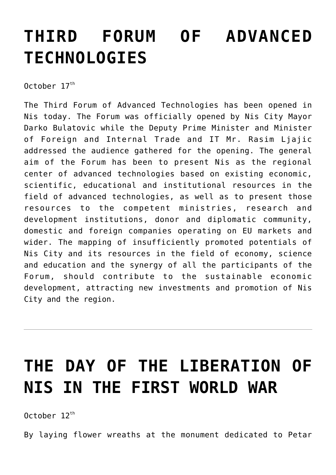### **[THIRD FORUM OF ADVANCED](https://www.gu.ni.rs/2017/10/17/third-forum-of-advanced-technologies/) [TECHNOLOGIES](https://www.gu.ni.rs/2017/10/17/third-forum-of-advanced-technologies/)**

October  $17<sup>th</sup>$ 

The Third Forum of Advanced Technologies has been opened in Nis today. The Forum was officially opened by Nis City Mayor Darko Bulatovic while the Deputy Prime Minister and Minister of Foreign and Internal Trade and IT Mr. Rasim Ljajic addressed the audience gathered for the opening. The general aim of the Forum has been to present Nis as the regional center of advanced technologies based on existing economic, scientific, educational and institutional resources in the field of advanced technologies, as well as to present those resources to the competent ministries, research and development institutions, donor and diplomatic community, domestic and foreign companies operating on EU markets and wider. The mapping of insufficiently promoted potentials of Nis City and its resources in the field of economy, science and education and the synergy of all the participants of the Forum, should contribute to the sustainable economic development, attracting new investments and promotion of Nis City and the region.

# **[THE DAY OF THE LIBERATION OF](https://www.gu.ni.rs/2017/10/12/the-day-of-the-liberation-of-nis-in-the-first-world-war/) [NIS IN THE FIRST WORLD WAR](https://www.gu.ni.rs/2017/10/12/the-day-of-the-liberation-of-nis-in-the-first-world-war/)**

October  $12^{th}$ 

By laying flower wreaths at the monument dedicated to Petar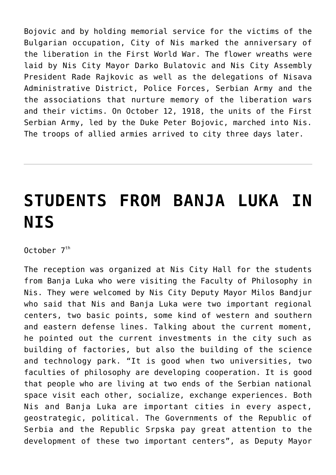Bojovic and by holding memorial service for the victims of the Bulgarian occupation, City of Nis marked the anniversary of the liberation in the First World War. The flower wreaths were laid by Nis City Mayor Darko Bulatovic and Nis City Assembly President Rade Rajkovic as well as the delegations of Nisava Administrative District, Police Forces, Serbian Army and the the associations that nurture memory of the liberation wars and their victims. On October 12, 1918, the units of the First Serbian Army, led by the Duke Peter Bojovic, marched into Nis. The troops of allied armies arrived to city three days later.

# **[STUDENTS FROM BANJA LUKA IN](https://www.gu.ni.rs/2017/10/07/students-from-banja-luka-in-nis/) [NIS](https://www.gu.ni.rs/2017/10/07/students-from-banja-luka-in-nis/)**

 $0$ ctober  $7<sup>th</sup>$ 

The reception was organized at Nis City Hall for the students from Banja Luka who were visiting the Faculty of Philosophy in Nis. They were welcomed by Nis City Deputy Mayor Milos Bandjur who said that Nis and Banja Luka were two important regional centers, two basic points, some kind of western and southern and eastern defense lines. Talking about the current moment, he pointed out the current investments in the city such as building of factories, but also the building of the science and technology park. "It is good when two universities, two faculties of philosophy are developing cooperation. It is good that people who are living at two ends of the Serbian national space visit each other, socialize, exchange experiences. Both Nis and Banja Luka are important cities in every aspect, geostrategic, political. The Governments of the Republic of Serbia and the Republic Srpska pay great attention to the development of these two important centers", as Deputy Mayor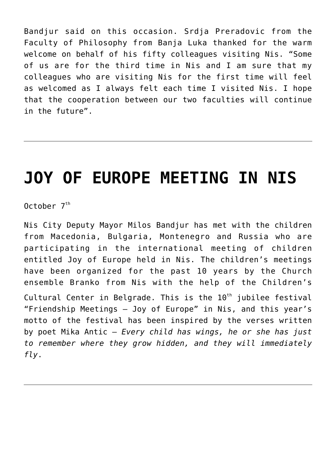Bandjur said on this occasion. Srdja Preradovic from the Faculty of Philosophy from Banja Luka thanked for the warm welcome on behalf of his fifty colleagues visiting Nis. "Some of us are for the third time in Nis and I am sure that my colleagues who are visiting Nis for the first time will feel as welcomed as I always felt each time I visited Nis. I hope that the cooperation between our two faculties will continue in the future".

#### **[JOY OF EUROPE MEETING IN NIS](https://www.gu.ni.rs/2017/10/07/joy-of-europe-meeting-in-nis/)**

October 7<sup>th</sup>

Nis City Deputy Mayor Milos Bandjur has met with the children from Macedonia, Bulgaria, Montenegro and Russia who are participating in the international meeting of children entitled Joy of Europe held in Nis. The children's meetings have been organized for the past 10 years by the Church ensemble Branko from Nis with the help of the Children's Cultural Center in Belgrade. This is the  $10<sup>th</sup>$  jubilee festival "Friendship Meetings – Joy of Europe" in Nis, and this year's motto of the festival has been inspired by the verses written by poet Mika Antic – *Every child has wings, he or she has just to remember where they grow hidden, and they will immediately fly*.